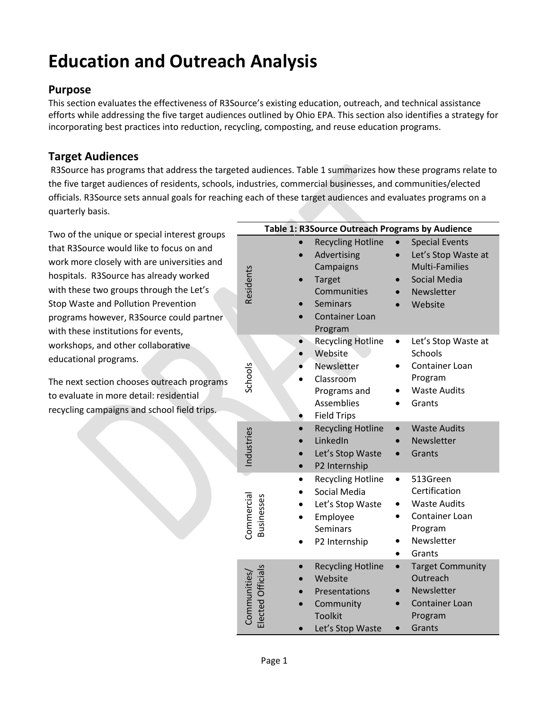# **Education and Outreach Analysis**

## **Purpose**

This section evaluates the effectiveness of R3Source's existing education, outreach, and technical assistance efforts while addressing the five target audiences outlined by Ohio EPA. This section also identifies a strategy for incorporating best practices into reduction, recycling, composting, and reuse education programs.

## **Target Audiences**

R3Source has programs that address the targeted audiences. Table 1 summarizes how these programs relate to the five target audiences of residents, schools, industries, commercial businesses, and communities/elected officials. R3Source sets annual goals for reaching each of these target audiences and evaluates programs on a quarterly basis.

Two of the unique or special interest groups that R3Source would like to focus on and work more closely with are universities and hospitals. R3Source has already worked with these two groups through the Let's Stop Waste and Pollution Prevention programs however, R3Source could partner with these institutions for events, workshops, and other collaborative educational programs.

The next section chooses outreach programs to evaluate in more detail: residential recycling campaigns and school field trips.

| Table 1: R3Source Outreach Programs by Audience |                                                                                                                                             |                                                                                                                       |  |
|-------------------------------------------------|---------------------------------------------------------------------------------------------------------------------------------------------|-----------------------------------------------------------------------------------------------------------------------|--|
| Residents                                       | <b>Recycling Hotline</b><br>Advertising<br>Campaigns<br><b>Target</b><br>Communities<br><b>Seminars</b><br><b>Container Loan</b><br>Program | <b>Special Events</b><br>Let's Stop Waste at<br><b>Multi-Families</b><br><b>Social Media</b><br>Newsletter<br>Website |  |
| Schools                                         | <b>Recycling Hotline</b><br>Website<br>Newsletter<br>Classroom<br>Programs and<br>Assemblies<br><b>Field Trips</b>                          | Let's Stop Waste at<br>Schools<br>Container Loan<br>Program<br><b>Waste Audits</b><br>Grants                          |  |
| Industries                                      | <b>Recycling Hotline</b><br>LinkedIn<br>Let's Stop Waste<br>P2 Internship                                                                   | <b>Waste Audits</b><br>Newsletter<br>Grants                                                                           |  |
| Commercial<br>Businesses                        | <b>Recycling Hotline</b><br>Social Media<br>Let's Stop Waste<br>Employee<br><b>Seminars</b><br>P2 Internship                                | 513Green<br>Certification<br><b>Waste Audits</b><br>Container Loan<br>Program<br>Newsletter<br>Grants                 |  |
| Elected Officials<br>Communities,               | <b>Recycling Hotline</b><br>Website<br>Presentations<br>Community<br><b>Toolkit</b><br>Let's Stop Waste                                     | <b>Target Community</b><br>Outreach<br>Newsletter<br>Container Loan<br>Program<br>Grants                              |  |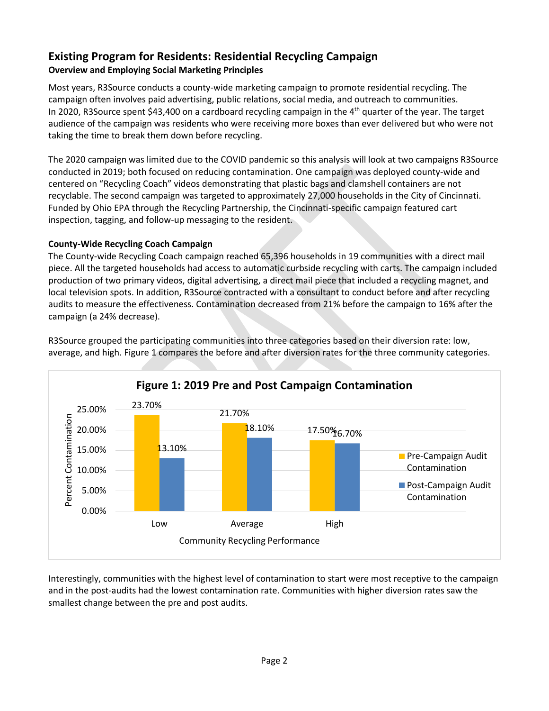## **Existing Program for Residents: Residential Recycling Campaign Overview and Employing Social Marketing Principles**

Most years, R3Source conducts a county-wide marketing campaign to promote residential recycling. The campaign often involves paid advertising, public relations, social media, and outreach to communities. In 2020, R3Source spent \$43,400 on a cardboard recycling campaign in the  $4<sup>th</sup>$  quarter of the year. The target audience of the campaign was residents who were receiving more boxes than ever delivered but who were not taking the time to break them down before recycling.

The 2020 campaign was limited due to the COVID pandemic so this analysis will look at two campaigns R3Source conducted in 2019; both focused on reducing contamination. One campaign was deployed county-wide and centered on "Recycling Coach" videos demonstrating that plastic bags and clamshell containers are not recyclable. The second campaign was targeted to approximately 27,000 households in the City of Cincinnati. Funded by Ohio EPA through the Recycling Partnership, the Cincinnati-specific campaign featured cart inspection, tagging, and follow-up messaging to the resident.

### **County-Wide Recycling Coach Campaign**

The County-wide Recycling Coach campaign reached 65,396 households in 19 communities with a direct mail piece. All the targeted households had access to automatic curbside recycling with carts. The campaign included production of two primary videos, digital advertising, a direct mail piece that included a recycling magnet, and local television spots. In addition, R3Source contracted with a consultant to conduct before and after recycling audits to measure the effectiveness. Contamination decreased from 21% before the campaign to 16% after the campaign (a 24% decrease).



R3Source grouped the participating communities into three categories based on their diversion rate: low, average, and high. Figure 1 compares the before and after diversion rates for the three community categories.

Interestingly, communities with the highest level of contamination to start were most receptive to the campaign and in the post-audits had the lowest contamination rate. Communities with higher diversion rates saw the smallest change between the pre and post audits.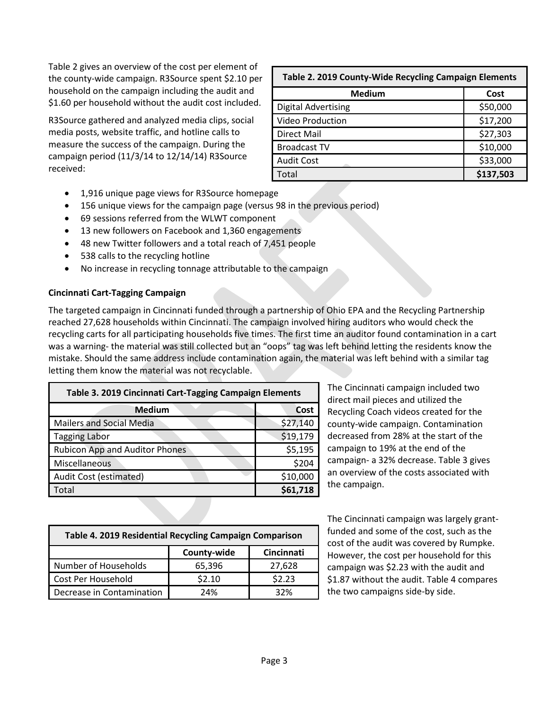Table 2 gives an overview of the cost per element of the county-wide campaign. R3Source spent \$2.10 per household on the campaign including the audit and \$1.60 per household without the audit cost included.

R3Source gathered and analyzed media clips, social media posts, website traffic, and hotline calls to measure the success of the campaign. During the campaign period (11/3/14 to 12/14/14) R3Source received:

| Table 2. 2019 County-Wide Recycling Campaign Elements |           |  |
|-------------------------------------------------------|-----------|--|
| <b>Medium</b>                                         | Cost      |  |
| <b>Digital Advertising</b>                            | \$50,000  |  |
| <b>Video Production</b>                               | \$17,200  |  |
| Direct Mail                                           | \$27,303  |  |
| <b>Broadcast TV</b>                                   | \$10,000  |  |
| <b>Audit Cost</b>                                     | \$33,000  |  |
| otal                                                  | \$137,503 |  |

- 1,916 unique page views for R3Source homepage
- 156 unique views for the campaign page (versus 98 in the previous period)
- 69 sessions referred from the WLWT component
- 13 new followers on Facebook and 1,360 engagements
- 48 new Twitter followers and a total reach of 7,451 people
- 538 calls to the recycling hotline
- No increase in recycling tonnage attributable to the campaign

#### **Cincinnati Cart-Tagging Campaign**

The targeted campaign in Cincinnati funded through a partnership of Ohio EPA and the Recycling Partnership reached 27,628 households within Cincinnati. The campaign involved hiring auditors who would check the recycling carts for all participating households five times. The first time an auditor found contamination in a cart was a warning- the material was still collected but an "oops" tag was left behind letting the residents know the mistake. Should the same address include contamination again, the material was left behind with a similar tag letting them know the material was not recyclable.

| Table 3. 2019 Cincinnati Cart-Tagging Campaign Elements |          |  |
|---------------------------------------------------------|----------|--|
| <b>Medium</b>                                           | Cost     |  |
| <b>Mailers and Social Media</b>                         | \$27,140 |  |
| <b>Tagging Labor</b>                                    | \$19,179 |  |
| Rubicon App and Auditor Phones                          | \$5,195  |  |
| Miscellaneous                                           | \$204    |  |
| Audit Cost (estimated)                                  | \$10,000 |  |
| Total                                                   | \$61,718 |  |

The Cincinnati campaign included two direct mail pieces and utilized the Recycling Coach videos created for the county-wide campaign. Contamination decreased from 28% at the start of the campaign to 19% at the end of the campaign- a 32% decrease. Table 3 gives an overview of the costs associated with the campaign.

| Table 4. 2019 Residential Recycling Campaign Comparison |             |            |  |
|---------------------------------------------------------|-------------|------------|--|
|                                                         | County-wide | Cincinnati |  |
| Number of Households                                    | 65,396      | 27,628     |  |
| Cost Per Household                                      | \$2.10      | \$2.23     |  |
| Decrease in Contamination                               | 24%         | 32%        |  |

The Cincinnati campaign was largely grantfunded and some of the cost, such as the cost of the audit was covered by Rumpke. However, the cost per household for this campaign was \$2.23 with the audit and \$1.87 without the audit. Table 4 compares the two campaigns side-by side.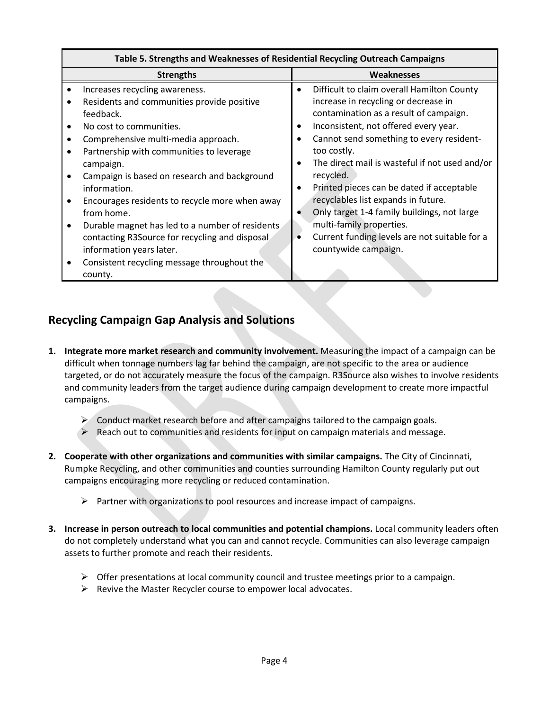| <b>Strengths</b>                                | Weaknesses                                     |  |
|-------------------------------------------------|------------------------------------------------|--|
| Increases recycling awareness.                  | Difficult to claim overall Hamilton County     |  |
| Residents and communities provide positive      | $\bullet$                                      |  |
| feedback.                                       | increase in recycling or decrease in           |  |
| No cost to communities.                         | contamination as a result of campaign.         |  |
| Comprehensive multi-media approach.             | Inconsistent, not offered every year.          |  |
| Partnership with communities to leverage        | Cannot send something to every resident-       |  |
| campaign.                                       | too costly.                                    |  |
| Campaign is based on research and background    | The direct mail is wasteful if not used and/or |  |
| information.                                    | recycled.                                      |  |
| Encourages residents to recycle more when away  | Printed pieces can be dated if acceptable      |  |
| from home.                                      | $\bullet$                                      |  |
| Durable magnet has led to a number of residents | recyclables list expands in future.            |  |
| contacting R3Source for recycling and disposal  | Only target 1-4 family buildings, not large    |  |
| information years later.                        | multi-family properties.                       |  |
| Consistent recycling message throughout the     | Current funding levels are not suitable for a  |  |
| county.                                         | countywide campaign.                           |  |

# **Recycling Campaign Gap Analysis and Solutions**

- **1. Integrate more market research and community involvement.** Measuring the impact of a campaign can be difficult when tonnage numbers lag far behind the campaign, are not specific to the area or audience targeted, or do not accurately measure the focus of the campaign. R3Source also wishes to involve residents and community leaders from the target audience during campaign development to create more impactful campaigns.
	- $\triangleright$  Conduct market research before and after campaigns tailored to the campaign goals.
	- $\triangleright$  Reach out to communities and residents for input on campaign materials and message.
- **2. Cooperate with other organizations and communities with similar campaigns.** The City of Cincinnati, Rumpke Recycling, and other communities and counties surrounding Hamilton County regularly put out campaigns encouraging more recycling or reduced contamination.
	- $\triangleright$  Partner with organizations to pool resources and increase impact of campaigns.
- **3. Increase in person outreach to local communities and potential champions.** Local community leaders often do not completely understand what you can and cannot recycle. Communities can also leverage campaign assets to further promote and reach their residents.
	- $\triangleright$  Offer presentations at local community council and trustee meetings prior to a campaign.
	- $\triangleright$  Revive the Master Recycler course to empower local advocates.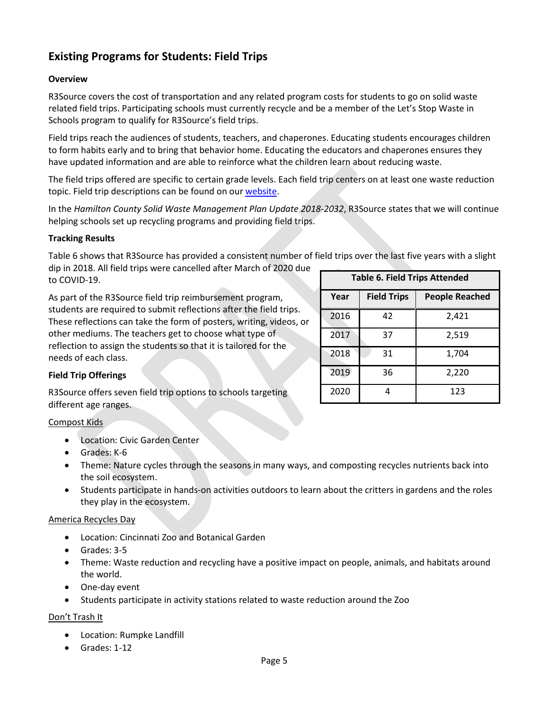# **Existing Programs for Students: Field Trips**

#### **Overview**

R3Source covers the cost of transportation and any related program costs for students to go on solid waste related field trips. Participating schools must currently recycle and be a member of the Let's Stop Waste in Schools program to qualify for R3Source's field trips.

Field trips reach the audiences of students, teachers, and chaperones. Educating students encourages children to form habits early and to bring that behavior home. Educating the educators and chaperones ensures they have updated information and are able to reinforce what the children learn about reducing waste.

The field trips offered are specific to certain grade levels. Each field trip centers on at least one waste reduction topic. Field trip descriptions can be found on ou[r website.](https://hamiltoncountyr3source.org/332/Field-Trips)

In the *Hamilton County Solid Waste Management Plan Update 2018-2032*, R3Source states that we will continue helping schools set up recycling programs and providing field trips.

#### **Tracking Results**

Table 6 shows that R3Source has provided a consistent number of field trips over the last five years with a slight dip in 2018. All field trips were cancelled after March of 2020 due

to COVID-19.

As part of the R3Source field trip reimbursement program, students are required to submit reflections after the field trips. These reflections can take the form of posters, writing, videos, or other mediums. The teachers get to choose what type of reflection to assign the students so that it is tailored for the needs of each class.

| <b>Table 6. Field Trips Attended</b> |                    |                       |  |
|--------------------------------------|--------------------|-----------------------|--|
| Year                                 | <b>Field Trips</b> | <b>People Reached</b> |  |
| 2016                                 | 42                 | 2,421                 |  |
| 2017                                 | 37                 | 2,519                 |  |
| 2018                                 | 31                 | 1,704                 |  |
| 2019                                 | 36                 | 2,220                 |  |
| 2020                                 |                    | 123                   |  |

#### **Field Trip Offerings**

R3Source offers seven field trip options to schools targeting different age ranges.

#### Compost Kids

- Location: Civic Garden Center
- Grades: K-6
- Theme: Nature cycles through the seasons in many ways, and composting recycles nutrients back into the soil ecosystem.
- Students participate in hands-on activities outdoors to learn about the critters in gardens and the roles they play in the ecosystem.

#### America Recycles Day

- Location: Cincinnati Zoo and Botanical Garden
- Grades: 3-5
- Theme: Waste reduction and recycling have a positive impact on people, animals, and habitats around the world.
- One-day event
- Students participate in activity stations related to waste reduction around the Zoo

#### Don't Trash It

- Location: Rumpke Landfill
- Grades: 1-12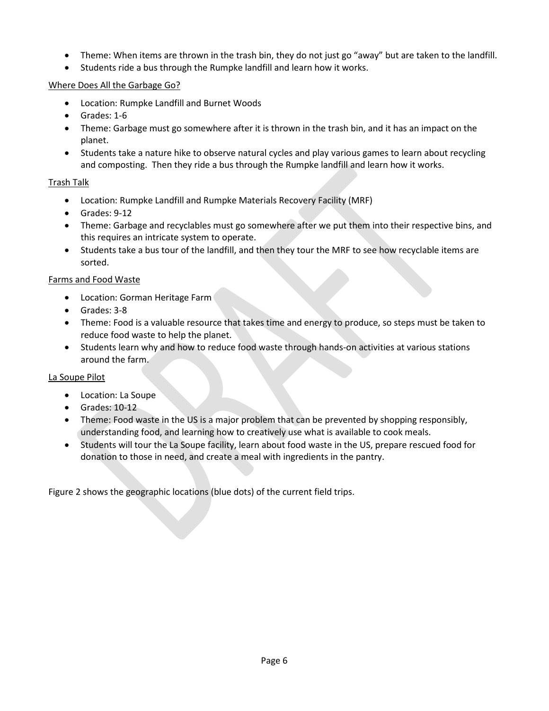- Theme: When items are thrown in the trash bin, they do not just go "away" but are taken to the landfill.
- Students ride a bus through the Rumpke landfill and learn how it works.

#### Where Does All the Garbage Go?

- Location: Rumpke Landfill and Burnet Woods
- Grades: 1-6
- Theme: Garbage must go somewhere after it is thrown in the trash bin, and it has an impact on the planet.
- Students take a nature hike to observe natural cycles and play various games to learn about recycling and composting. Then they ride a bus through the Rumpke landfill and learn how it works.

#### Trash Talk

- Location: Rumpke Landfill and Rumpke Materials Recovery Facility (MRF)
- Grades: 9-12
- Theme: Garbage and recyclables must go somewhere after we put them into their respective bins, and this requires an intricate system to operate.
- Students take a bus tour of the landfill, and then they tour the MRF to see how recyclable items are sorted.

#### Farms and Food Waste

- Location: Gorman Heritage Farm
- Grades: 3-8
- Theme: Food is a valuable resource that takes time and energy to produce, so steps must be taken to reduce food waste to help the planet.
- Students learn why and how to reduce food waste through hands-on activities at various stations around the farm.

#### La Soupe Pilot

- Location: La Soupe
- Grades: 10-12
- Theme: Food waste in the US is a major problem that can be prevented by shopping responsibly, understanding food, and learning how to creatively use what is available to cook meals.
- Students will tour the La Soupe facility, learn about food waste in the US, prepare rescued food for donation to those in need, and create a meal with ingredients in the pantry.

Figure 2 shows the geographic locations (blue dots) of the current field trips.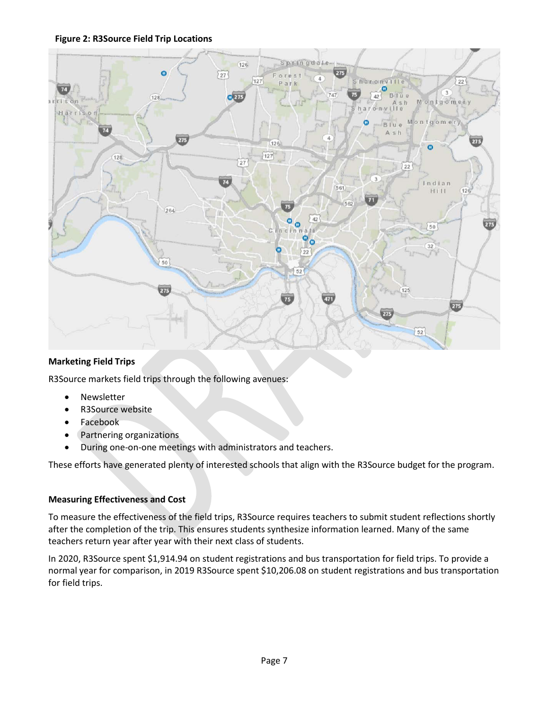



#### **Marketing Field Trips**

R3Source markets field trips through the following avenues:

- Newsletter
- R3Source website
- Facebook
- Partnering organizations
- During one-on-one meetings with administrators and teachers.

These efforts have generated plenty of interested schools that align with the R3Source budget for the program.

#### **Measuring Effectiveness and Cost**

To measure the effectiveness of the field trips, R3Source requires teachers to submit student reflections shortly after the completion of the trip. This ensures students synthesize information learned. Many of the same teachers return year after year with their next class of students.

In 2020, R3Source spent \$1,914.94 on student registrations and bus transportation for field trips. To provide a normal year for comparison, in 2019 R3Source spent \$10,206.08 on student registrations and bus transportation for field trips.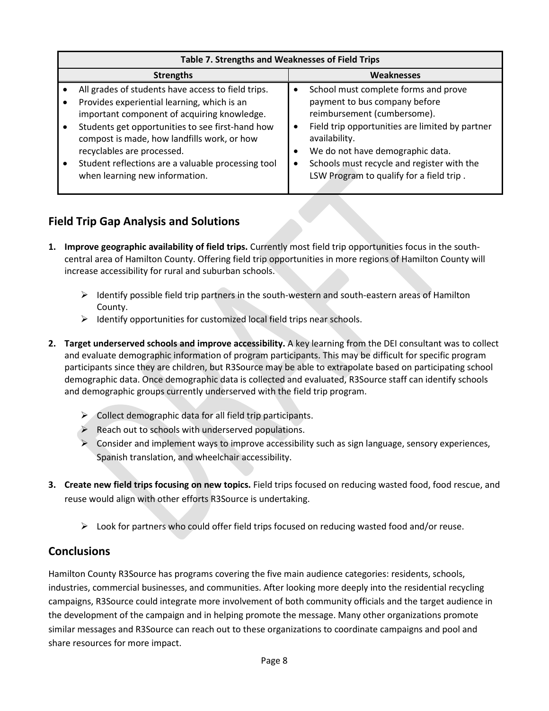| Table 7. Strengths and Weaknesses of Field Trips                                                                                                                                                                                                                                                                                                                          |                                                                                                                                                                                                                                                                                                        |  |  |
|---------------------------------------------------------------------------------------------------------------------------------------------------------------------------------------------------------------------------------------------------------------------------------------------------------------------------------------------------------------------------|--------------------------------------------------------------------------------------------------------------------------------------------------------------------------------------------------------------------------------------------------------------------------------------------------------|--|--|
| <b>Strengths</b>                                                                                                                                                                                                                                                                                                                                                          | <b>Weaknesses</b>                                                                                                                                                                                                                                                                                      |  |  |
| All grades of students have access to field trips.<br>Provides experiential learning, which is an<br>important component of acquiring knowledge.<br>Students get opportunities to see first-hand how<br>compost is made, how landfills work, or how<br>recyclables are processed.<br>Student reflections are a valuable processing tool<br>when learning new information. | School must complete forms and prove<br>payment to bus company before<br>reimbursement (cumbersome).<br>Field trip opportunities are limited by partner<br>availability.<br>We do not have demographic data.<br>Schools must recycle and register with the<br>LSW Program to qualify for a field trip. |  |  |

# **Field Trip Gap Analysis and Solutions**

- **1. Improve geographic availability of field trips.** Currently most field trip opportunities focus in the southcentral area of Hamilton County. Offering field trip opportunities in more regions of Hamilton County will increase accessibility for rural and suburban schools.
	- $\triangleright$  Identify possible field trip partners in the south-western and south-eastern areas of Hamilton County.
	- $\triangleright$  Identify opportunities for customized local field trips near schools.
- **2. Target underserved schools and improve accessibility.** A key learning from the DEI consultant was to collect and evaluate demographic information of program participants. This may be difficult for specific program participants since they are children, but R3Source may be able to extrapolate based on participating school demographic data. Once demographic data is collected and evaluated, R3Source staff can identify schools and demographic groups currently underserved with the field trip program.
	- $\triangleright$  Collect demographic data for all field trip participants.
	- $\triangleright$  Reach out to schools with underserved populations.
	- $\triangleright$  Consider and implement ways to improve accessibility such as sign language, sensory experiences, Spanish translation, and wheelchair accessibility.
- **3. Create new field trips focusing on new topics.** Field trips focused on reducing wasted food, food rescue, and reuse would align with other efforts R3Source is undertaking.
	- $\triangleright$  Look for partners who could offer field trips focused on reducing wasted food and/or reuse.

## **Conclusions**

Hamilton County R3Source has programs covering the five main audience categories: residents, schools, industries, commercial businesses, and communities. After looking more deeply into the residential recycling campaigns, R3Source could integrate more involvement of both community officials and the target audience in the development of the campaign and in helping promote the message. Many other organizations promote similar messages and R3Source can reach out to these organizations to coordinate campaigns and pool and share resources for more impact.